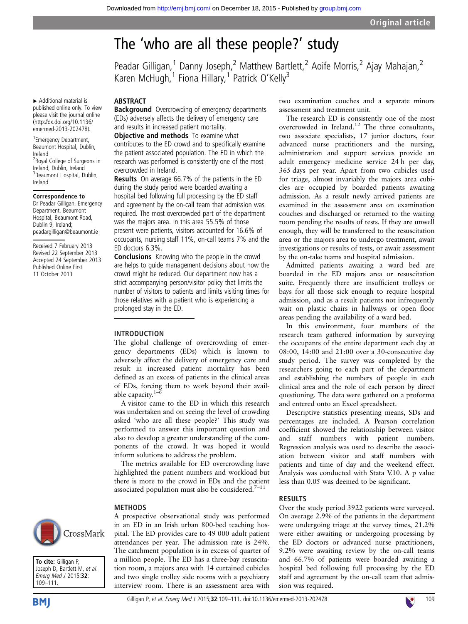# The 'who are all these people?' study

Peadar Gilligan,<sup>1</sup> Danny Joseph,<sup>2</sup> Matthew Bartlett,<sup>2</sup> Aoife Morris,<sup>2</sup> Ajay Mahajan,<sup>2</sup> Karen McHugh,<sup>1</sup> Fiona Hillary,<sup>1</sup> Patrick O'Kelly<sup>3</sup>

▸ Additional material is published online only. To view please visit the journal online [\(http://dx.doi.org/10.1136/](http://dx.doi.org/10.1136/emermed-2013-202478) [emermed-2013-202478](http://dx.doi.org/10.1136/emermed-2013-202478)).

1 Emergency Department, Beaumont Hospital, Dublin, Ireland <sup>2</sup> Royal College of Surgeons in Ireland, Dublin, Ireland 3 Beaumont Hospital, Dublin, Ireland

#### Correspondence to

Dr Peadar Gilligan, Emergency Department, Beaumont Hospital, Beaumont Road, Dublin 9, Ireland; peadargilligan@beaumont.ie

Received 7 February 2013 Revised 22 September 2013 Accepted 24 September 2013 Published Online First 11 October 2013

# ABSTRACT

**Background** Overcrowding of emergency departments (EDs) adversely affects the delivery of emergency care and results in increased patient mortality.

**Objective and methods** To examine what contributes to the ED crowd and to specifically examine the patient associated population. The ED in which the research was performed is consistently one of the most overcrowded in Ireland.

Results On average 66.7% of the patients in the ED during the study period were boarded awaiting a hospital bed following full processing by the ED staff and agreement by the on-call team that admission was required. The most overcrowded part of the department was the majors area. In this area 55.5% of those present were patients, visitors accounted for 16.6% of occupants, nursing staff 11%, on-call teams 7% and the ED doctors 6.3%.

Conclusions Knowing who the people in the crowd are helps to guide management decisions about how the crowd might be reduced. Our department now has a strict accompanying person/visitor policy that limits the number of visitors to patients and limits visiting times for those relatives with a patient who is experiencing a prolonged stay in the ED.

### INTRODUCTION

The global challenge of overcrowding of emergency departments (EDs) which is known to adversely affect the delivery of emergency care and result in increased patient mortality has been defined as an excess of patients in the clinical areas of EDs, forcing them to work beyond their available capacity. $1-\overline{6}$ 

A visitor came to the ED in which this research was undertaken and on seeing the level of crowding asked 'who are all these people?' This study was performed to answer this important question and also to develop a greater understanding of the components of the crowd. It was hoped it would inform solutions to address the problem.

The metrics available for ED overcrowding have highlighted the patient numbers and workload but there is more to the crowd in EDs and the patient associated population must also be considered. $7-11$ 

A prospective observational study was performed in an ED in an Irish urban 800-bed teaching hospital. The ED provides care to 49 000 adult patient attendances per year. The admission rate is 24%. The catchment population is in excess of quarter of a million people. The ED has a three-bay resuscitation room, a majors area with 14 curtained cubicles and two single trolley side rooms with a psychiatry interview room. There is an assessment area with

#### METHODS

CrossMark

To cite: Gilligan P, Joseph D, Bartlett M, et al. Emerg Med J 2015;32: 109–111.





two examination couches and a separate minors assessment and treatment unit.

The research ED is consistently one of the most overcrowded in Ireland.<sup>12</sup> The three consultants, two associate specialists, 17 junior doctors, four advanced nurse practitioners and the nursing, administration and support services provide an adult emergency medicine service 24 h per day, 365 days per year. Apart from two cubicles used for triage, almost invariably the majors area cubicles are occupied by boarded patients awaiting admission. As a result newly arrived patients are examined in the assessment area on examination couches and discharged or returned to the waiting room pending the results of tests. If they are unwell enough, they will be transferred to the resuscitation area or the majors area to undergo treatment, await investigations or results of tests, or await assessment by the on-take teams and hospital admission.

Admitted patients awaiting a ward bed are boarded in the ED majors area or resuscitation suite. Frequently there are insufficient trolleys or bays for all those sick enough to require hospital admission, and as a result patients not infrequently wait on plastic chairs in hallways or open floor areas pending the availability of a ward bed.

In this environment, four members of the research team gathered information by surveying the occupants of the entire department each day at 08:00, 14:00 and 21:00 over a 30-consecutive day study period. The survey was completed by the researchers going to each part of the department and establishing the numbers of people in each clinical area and the role of each person by direct questioning. The data were gathered on a proforma and entered onto an Excel spreadsheet.

Descriptive statistics presenting means, SDs and percentages are included. A Pearson correlation coefficient showed the relationship between visitor and staff numbers with patient numbers. Regression analysis was used to describe the association between visitor and staff numbers with patients and time of day and the weekend effect. Analysis was conducted with Stata V.10. A p value less than 0.05 was deemed to be significant.

# RESULTS

Over the study period 3922 patients were surveyed. On average 2.9% of the patients in the department were undergoing triage at the survey times, 21.2% were either awaiting or undergoing processing by the ED doctors or advanced nurse practitioners, 9.2% were awaiting review by the on-call teams and 66.7% of patients were boarded awaiting a hospital bed following full processing by the ED staff and agreement by the on-call team that admission was required.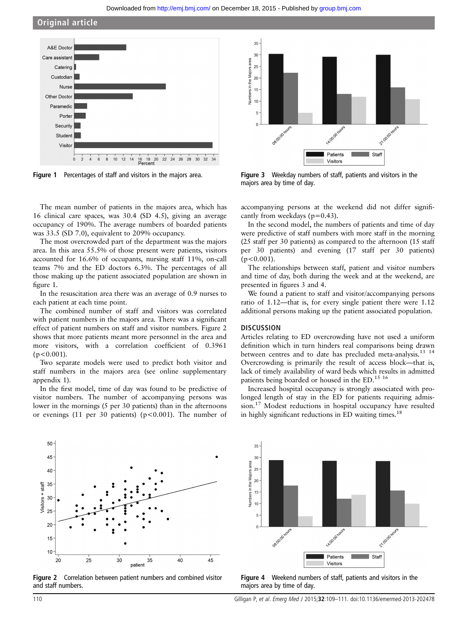$35$ 

 $30$ 

Original article



Figure 1 Percentages of staff and visitors in the majors area.



Figure 3 Weekday numbers of staff, patients and visitors in the majors area by time of day.

The mean number of patients in the majors area, which has 16 clinical care spaces, was 30.4 (SD 4.5), giving an average occupancy of 190%. The average numbers of boarded patients was 33.5 (SD 7.0), equivalent to 209% occupancy.

The most overcrowded part of the department was the majors area. In this area 55.5% of those present were patients, visitors accounted for 16.6% of occupants, nursing staff 11%, on-call teams 7% and the ED doctors 6.3%. The percentages of all those making up the patient associated population are shown in figure 1.

In the resuscitation area there was an average of 0.9 nurses to each patient at each time point.

The combined number of staff and visitors was correlated with patient numbers in the majors area. There was a significant effect of patient numbers on staff and visitor numbers. Figure 2 shows that more patients meant more personnel in the area and more visitors, with a correlation coefficient of 0.3961  $(p<0.001)$ .

Two separate models were used to predict both visitor and staff numbers in the majors area (see online supplementary appendix 1).

In the first model, time of day was found to be predictive of visitor numbers. The number of accompanying persons was lower in the mornings (5 per 30 patients) than in the afternoons or evenings (11 per 30 patients) (p<0.001). The number of

accompanying persons at the weekend did not differ significantly from weekdays ( $p=0.43$ ).

In the second model, the numbers of patients and time of day were predictive of staff numbers with more staff in the morning (25 staff per 30 patients) as compared to the afternoon (15 staff per 30 patients) and evening (17 staff per 30 patients)  $(p<0.001)$ .

The relationships between staff, patient and visitor numbers and time of day, both during the week and at the weekend, are presented in figures 3 and 4.

We found a patient to staff and visitor/accompanying persons ratio of 1.12—that is, for every single patient there were 1.12 additional persons making up the patient associated population.

# **DISCUSSION**

Articles relating to ED overcrowding have not used a uniform definition which in turn hinders real comparisons being drawn between centres and to date has precluded meta-analysis.<sup>13</sup> <sup>14</sup> Overcrowding is primarily the result of access block—that is, lack of timely availability of ward beds which results in admitted patients being boarded or housed in the ED.<sup>15 16</sup>

Increased hospital occupancy is strongly associated with prolonged length of stay in the ED for patients requiring admission.<sup>17</sup> Modest reductions in hospital occupancy have resulted in highly significant reductions in ED waiting times.<sup>18</sup>

Visitors + staff 25  $20$ 15  $10$  $20$ 25 30 40 45 35 patient





Figure 4 Weekend numbers of staff, patients and visitors in the majors area by time of day.

50

45

40

35

30